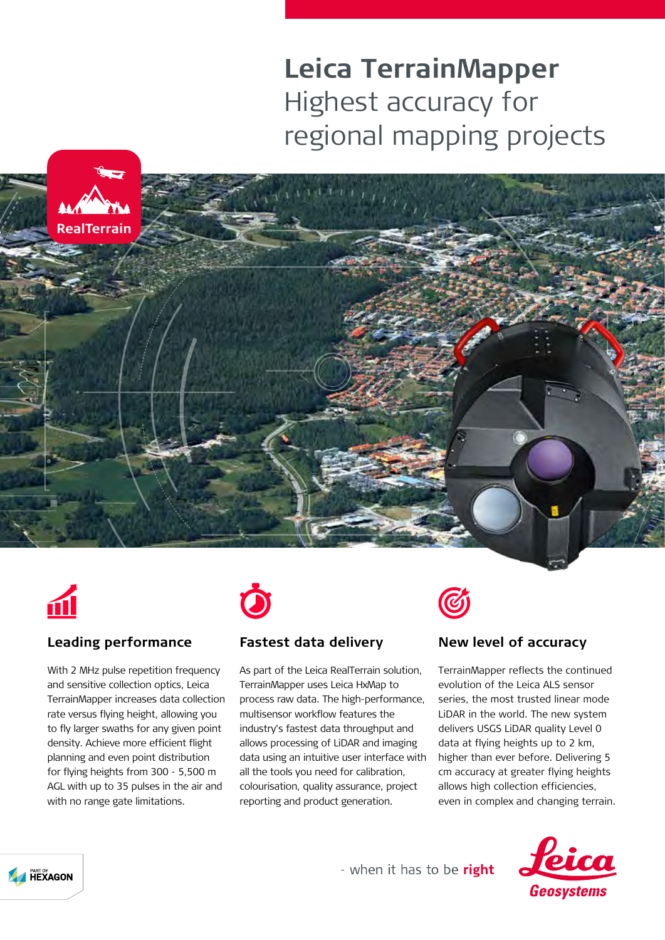# **Leica TerrainMapper** Highest accuracy for regional mapping projects





## **Leading performance**

With 2 MHz pulse repetition frequency and sensitive collection optics, Leica TerrainMapper increases data collection rate versus flying height, allowing you to fly larger swaths for any given point density. Achieve more efficient flight planning and even point distribution for flying heights from 300 - 5,500 m AGL with up to 35 pulses in the air and with no range gate limitations.



## **Fastest data delivery**

As part of the Leica RealTerrain solution, TerrainMapper uses Leica HxMap to process raw data. The high-performance, multisensor workflow features the industry's fastest data throughput and allows processing of LiDAR and imaging data using an intuitive user interface with all the tools you need for calibration, colourisation, quality assurance, project reporting and product generation.



## **New level of accuracy**

TerrainMapper reflects the continued evolution of the Leica ALS sensor series, the most trusted linear mode LiDAR in the world. The new system delivers USGS LiDAR quality Level 0 data at flying heights up to 2 km, higher than ever before. Delivering 5 cm accuracy at greater flying heights allows high collection efficiencies, even in complex and changing terrain.